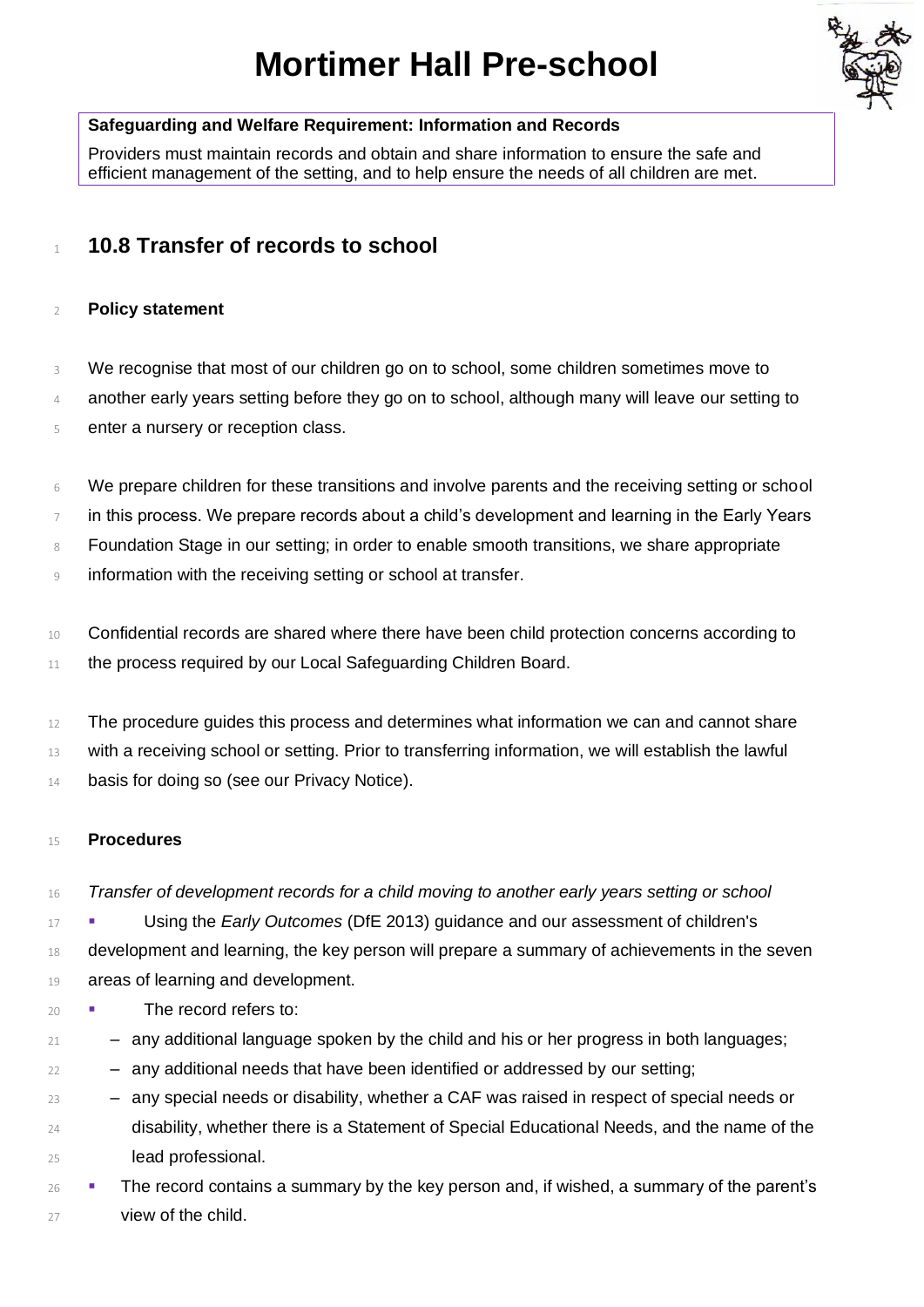# **Mortimer Hall Pre-school**



# **Safeguarding and Welfare Requirement: Information and Records**

Providers must maintain records and obtain and share information to ensure the safe and efficient management of the setting, and to help ensure the needs of all children are met.

# <sup>1</sup> **10.8 Transfer of records to school**

# 2 **Policy statement**

3 We recognise that most of our children go on to school, some children sometimes move to

- 4 another early years setting before they go on to school, although many will leave our setting to
- 5 enter a nursery or reception class.
- 6 We prepare children for these transitions and involve parents and the receiving setting or school
- $7$  in this process. We prepare records about a child's development and learning in the Early Years
- 8 Foundation Stage in our setting; in order to enable smooth transitions, we share appropriate
- 9 information with the receiving setting or school at transfer.
- 10 Confidential records are shared where there have been child protection concerns according to 11 the process required by our Local Safeguarding Children Board.

12 The procedure guides this process and determines what information we can and cannot share 13 with a receiving school or setting. Prior to transferring information, we will establish the lawful 14 basis for doing so (see our Privacy Notice).

## 15 **Procedures**

16 *Transfer of development records for a child moving to another early years setting or school*

17 **■** Using the *Early Outcomes* (DfE 2013) guidance and our assessment of children's

- 18 development and learning, the key person will prepare a summary of achievements in the seven 19 areas of learning and development.
- 20 **· The record refers to:**
- 21 any additional language spoken by the child and his or her progress in both languages;
- 22 any additional needs that have been identified or addressed by our setting;
- 23 any special needs or disability, whether a CAF was raised in respect of special needs or 24 disability, whether there is a Statement of Special Educational Needs, and the name of the 25 lead professional.
- 26 **· The record contains a summary by the key person and, if wished, a summary of the parent's** 27 view of the child.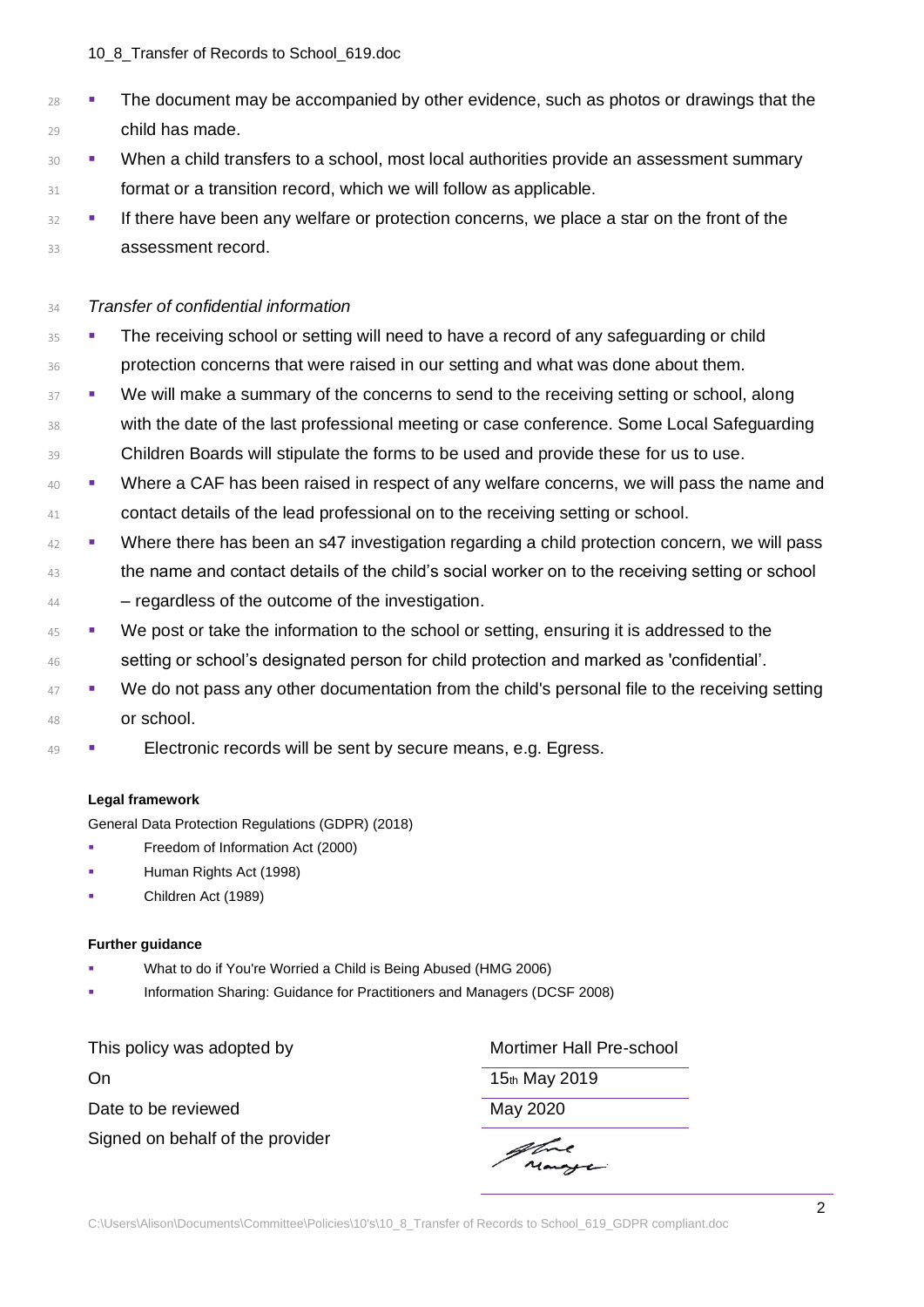#### 10\_8\_Transfer of Records to School\_619.doc

- <sup>28</sup> **•** The document may be accompanied by other evidence, such as photos or drawings that the 29 child has made.
- 30 **· When a child transfers to a school, most local authorities provide an assessment summary** 31 **format or a transition record, which we will follow as applicable.**
- <sup>32</sup> **■** If there have been any welfare or protection concerns, we place a star on the front of the 33 **assessment record.**

# 34 *Transfer of confidential information*

- 35 The receiving school or setting will need to have a record of any safeguarding or child 36 protection concerns that were raised in our setting and what was done about them.
- **EXECT FIGHT THE WE will make a summary of the concerns to send to the receiving setting or school, along** 38 with the date of the last professional meeting or case conference. Some Local Safeguarding 39 Children Boards will stipulate the forms to be used and provide these for us to use.
- <sup>40</sup> **■** Where a CAF has been raised in respect of any welfare concerns, we will pass the name and 41 contact details of the lead professional on to the receiving setting or school.
- <sup>42</sup> Where there has been an s47 investigation regarding a child protection concern, we will pass <sup>43</sup> the name and contact details of the child's social worker on to the receiving setting or school 44 – regardless of the outcome of the investigation.
- **EXECUTE:** We post or take the information to the school or setting, ensuring it is addressed to the 46 setting or school's designated person for child protection and marked as 'confidential'.
- <sup>47</sup> **■** We do not pass any other documentation from the child's personal file to the receiving setting 48 or school.
- **Electronic records will be sent by secure means, e.g. Egress.**

## **Legal framework**

General Data Protection Regulations (GDPR) (2018)

- **•** Freedom of Information Act (2000)
- Human Rights Act (1998)
- Children Act (1989)

## **Further guidance**

- What to do if You're Worried a Child is Being Abused (HMG 2006)
- Information Sharing: Guidance for Practitioners and Managers (DCSF 2008)

| This policy was adopted by       |
|----------------------------------|
| On                               |
| Date to be reviewed              |
| Signed on behalf of the provider |

Mortimer Hall Pre-school

15th May 2019

May 2020

atre Mange